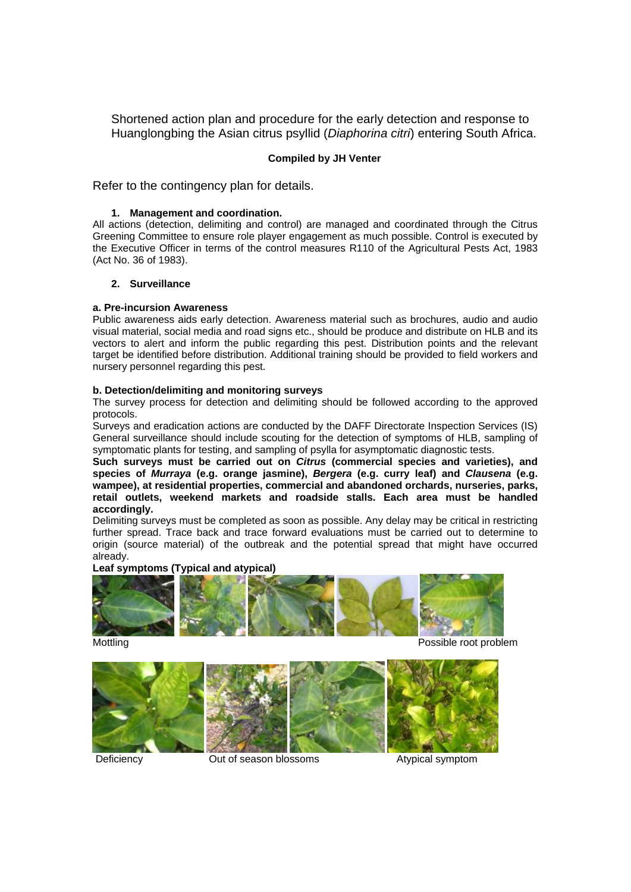Shortened action plan and procedure for the early detection and response to Huanglongbing the Asian citrus psyllid (*Diaphorina citri*) entering South Africa.

## **Compiled by JH Venter**

Refer to the contingency plan for details.

### **1. Management and coordination.**

All actions (detection, delimiting and control) are managed and coordinated through the Citrus Greening Committee to ensure role player engagement as much possible. Control is executed by the Executive Officer in terms of the control measures R110 of the Agricultural Pests Act, 1983 (Act No. 36 of 1983).

## **2. Surveillance**

## **a. Pre-incursion Awareness**

Public awareness aids early detection. Awareness material such as brochures, audio and audio visual material, social media and road signs etc., should be produce and distribute on HLB and its vectors to alert and inform the public regarding this pest. Distribution points and the relevant target be identified before distribution. Additional training should be provided to field workers and nursery personnel regarding this pest.

### **b. Detection/delimiting and monitoring surveys**

The survey process for detection and delimiting should be followed according to the approved protocols.

Surveys and eradication actions are conducted by the DAFF Directorate Inspection Services (IS) General surveillance should include scouting for the detection of symptoms of HLB, sampling of symptomatic plants for testing, and sampling of psylla for asymptomatic diagnostic tests.

**Such surveys must be carried out on** *Citrus* **(commercial species and varieties), and species of** *Murraya* **(e.g. orange jasmine),** *Bergera* **(e.g. curry leaf) and** *Clausena* **(e.g. wampee), at residential properties, commercial and abandoned orchards, nurseries, parks, retail outlets, weekend markets and roadside stalls. Each area must be handled accordingly.** 

Delimiting surveys must be completed as soon as possible. Any delay may be critical in restricting further spread. Trace back and trace forward evaluations must be carried out to determine to origin (source material) of the outbreak and the potential spread that might have occurred already.

#### **Leaf symptoms (Typical and atypical)**



Mottling **Possible root problem** 



Deficiency **Out of season blossoms** Atypical symptom